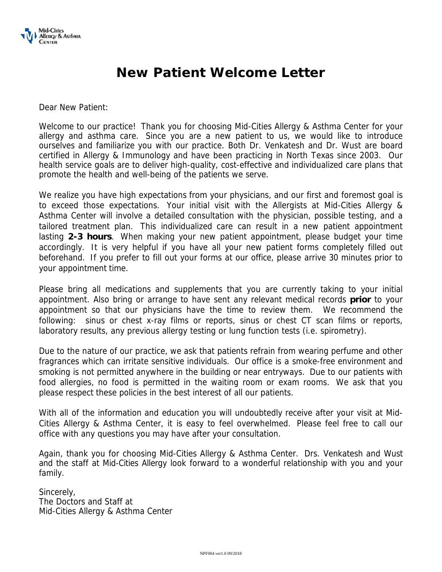

## **New Patient Welcome Letter**

Dear New Patient:

Welcome to our practice! Thank you for choosing Mid-Cities Allergy & Asthma Center for your allergy and asthma care. Since you are a new patient to us, we would like to introduce ourselves and familiarize you with our practice. Both Dr. Venkatesh and Dr. Wust are board certified in Allergy & Immunology and have been practicing in North Texas since 2003. Our health service goals are to deliver high-quality, cost-effective and individualized care plans that promote the health and well-being of the patients we serve.

We realize you have high expectations from your physicians, and our first and foremost goal is to exceed those expectations. Your initial visit with the Allergists at Mid-Cities Allergy & Asthma Center will involve a detailed consultation with the physician, possible testing, and a tailored treatment plan. This individualized care can result in a new patient appointment lasting **2-3 hours**. When making your new patient appointment, please budget your time accordingly. It is very helpful if you have all your new patient forms completely filled out beforehand. If you prefer to fill out your forms at our office, please arrive 30 minutes prior to your appointment time.

Please bring all medications and supplements that you are currently taking to your initial appointment. Also bring or arrange to have sent any relevant medical records **prior** to your appointment so that our physicians have the time to review them. We recommend the following: sinus or chest x-ray films or reports, sinus or chest CT scan films or reports, laboratory results, any previous allergy testing or lung function tests (i.e. spirometry).

Due to the nature of our practice, we ask that patients refrain from wearing perfume and other fragrances which can irritate sensitive individuals. Our office is a smoke-free environment and smoking is not permitted anywhere in the building or near entryways. Due to our patients with food allergies, no food is permitted in the waiting room or exam rooms. We ask that you please respect these policies in the best interest of all our patients.

With all of the information and education you will undoubtedly receive after your visit at Mid-Cities Allergy & Asthma Center, it is easy to feel overwhelmed. Please feel free to call our office with any questions you may have after your consultation.

Again, thank you for choosing Mid-Cities Allergy & Asthma Center. Drs. Venkatesh and Wust and the staff at Mid-Cities Allergy look forward to a wonderful relationship with you and your family.

Sincerely, The Doctors and Staff at Mid-Cities Allergy & Asthma Center